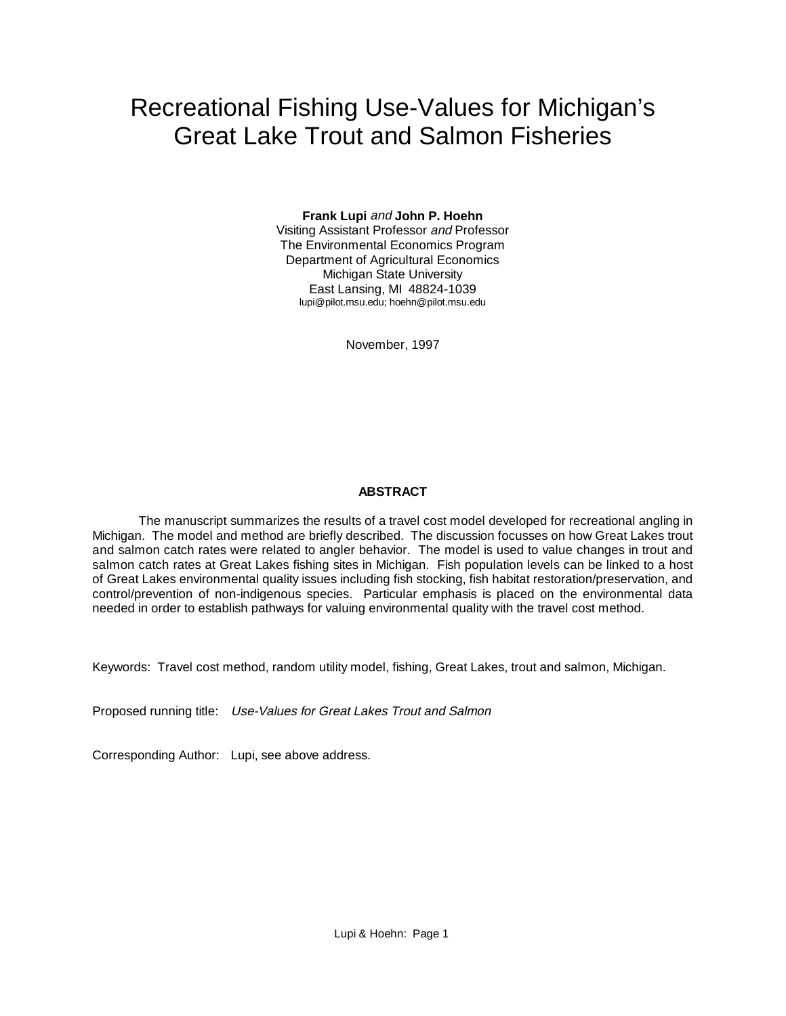# Recreational Fishing Use-Values for Michigan's Great Lake Trout and Salmon Fisheries

**Frank Lupi** and **John P. Hoehn** Visiting Assistant Professor and Professor The Environmental Economics Program Department of Agricultural Economics Michigan State University East Lansing, MI 48824-1039 lupi@pilot.msu.edu; hoehn@pilot.msu.edu

November, 1997

## **ABSTRACT**

The manuscript summarizes the results of a travel cost model developed for recreational angling in Michigan. The model and method are briefly described. The discussion focusses on how Great Lakes trout and salmon catch rates were related to angler behavior. The model is used to value changes in trout and salmon catch rates at Great Lakes fishing sites in Michigan. Fish population levels can be linked to a host of Great Lakes environmental quality issues including fish stocking, fish habitat restoration/preservation, and control/prevention of non-indigenous species. Particular emphasis is placed on the environmental data needed in order to establish pathways for valuing environmental quality with the travel cost method.

Keywords: Travel cost method, random utility model, fishing, Great Lakes, trout and salmon, Michigan.

Proposed running title: Use-Values for Great Lakes Trout and Salmon

Corresponding Author: Lupi, see above address.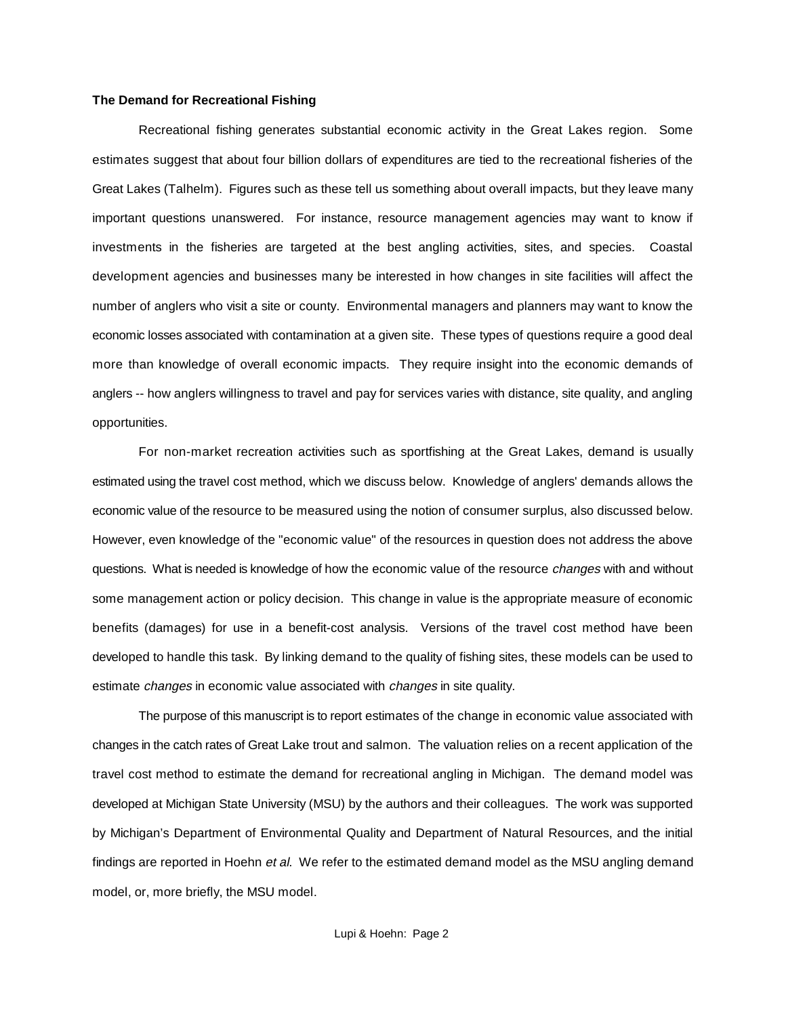#### **The Demand for Recreational Fishing**

Recreational fishing generates substantial economic activity in the Great Lakes region. Some estimates suggest that about four billion dollars of expenditures are tied to the recreational fisheries of the Great Lakes (Talhelm). Figures such as these tell us something about overall impacts, but they leave many important questions unanswered. For instance, resource management agencies may want to know if investments in the fisheries are targeted at the best angling activities, sites, and species. Coastal development agencies and businesses many be interested in how changes in site facilities will affect the number of anglers who visit a site or county. Environmental managers and planners may want to know the economic losses associated with contamination at a given site. These types of questions require a good deal more than knowledge of overall economic impacts. They require insight into the economic demands of anglers -- how anglers willingness to travel and pay for services varies with distance, site quality, and angling opportunities.

For non-market recreation activities such as sportfishing at the Great Lakes, demand is usually estimated using the travel cost method, which we discuss below. Knowledge of anglers' demands allows the economic value of the resource to be measured using the notion of consumer surplus, also discussed below. However, even knowledge of the "economic value" of the resources in question does not address the above questions. What is needed is knowledge of how the economic value of the resource *changes* with and without some management action or policy decision. This change in value is the appropriate measure of economic benefits (damages) for use in a benefit-cost analysis. Versions of the travel cost method have been developed to handle this task. By linking demand to the quality of fishing sites, these models can be used to estimate *changes* in economic value associated with *changes* in site quality.

The purpose of this manuscript is to report estimates of the change in economic value associated with changes in the catch rates of Great Lake trout and salmon. The valuation relies on a recent application of the travel cost method to estimate the demand for recreational angling in Michigan. The demand model was developed at Michigan State University (MSU) by the authors and their colleagues. The work was supported by Michigan's Department of Environmental Quality and Department of Natural Resources, and the initial findings are reported in Hoehn et al. We refer to the estimated demand model as the MSU angling demand model, or, more briefly, the MSU model.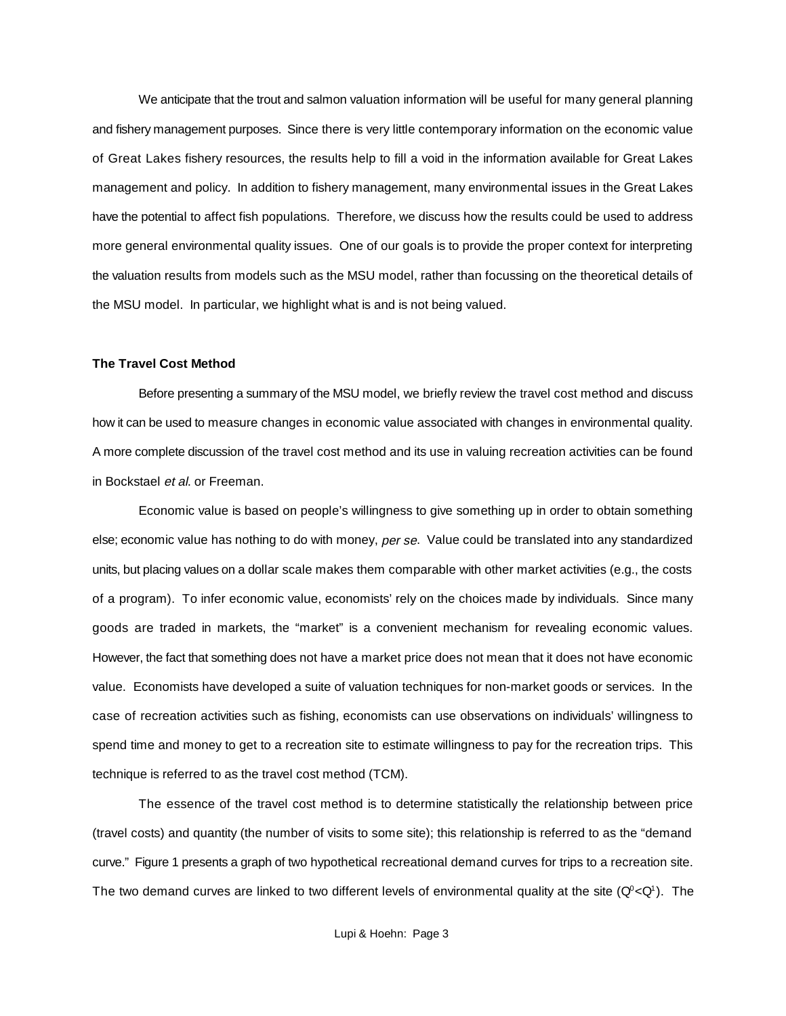We anticipate that the trout and salmon valuation information will be useful for many general planning and fishery management purposes. Since there is very little contemporary information on the economic value of Great Lakes fishery resources, the results help to fill a void in the information available for Great Lakes management and policy. In addition to fishery management, many environmental issues in the Great Lakes have the potential to affect fish populations. Therefore, we discuss how the results could be used to address more general environmental quality issues. One of our goals is to provide the proper context for interpreting the valuation results from models such as the MSU model, rather than focussing on the theoretical details of the MSU model. In particular, we highlight what is and is not being valued.

#### **The Travel Cost Method**

Before presenting a summary of the MSU model, we briefly review the travel cost method and discuss how it can be used to measure changes in economic value associated with changes in environmental quality. A more complete discussion of the travel cost method and its use in valuing recreation activities can be found in Bockstael et al. or Freeman.

Economic value is based on people's willingness to give something up in order to obtain something else; economic value has nothing to do with money, per se. Value could be translated into any standardized units, but placing values on a dollar scale makes them comparable with other market activities (e.g., the costs of a program). To infer economic value, economists' rely on the choices made by individuals. Since many goods are traded in markets, the "market" is a convenient mechanism for revealing economic values. However, the fact that something does not have a market price does not mean that it does not have economic value. Economists have developed a suite of valuation techniques for non-market goods or services. In the case of recreation activities such as fishing, economists can use observations on individuals' willingness to spend time and money to get to a recreation site to estimate willingness to pay for the recreation trips. This technique is referred to as the travel cost method (TCM).

The essence of the travel cost method is to determine statistically the relationship between price (travel costs) and quantity (the number of visits to some site); this relationship is referred to as the "demand curve." Figure 1 presents a graph of two hypothetical recreational demand curves for trips to a recreation site. The two demand curves are linked to two different levels of environmental quality at the site ( $Q^{\circ} < Q^{\circ}$ ). The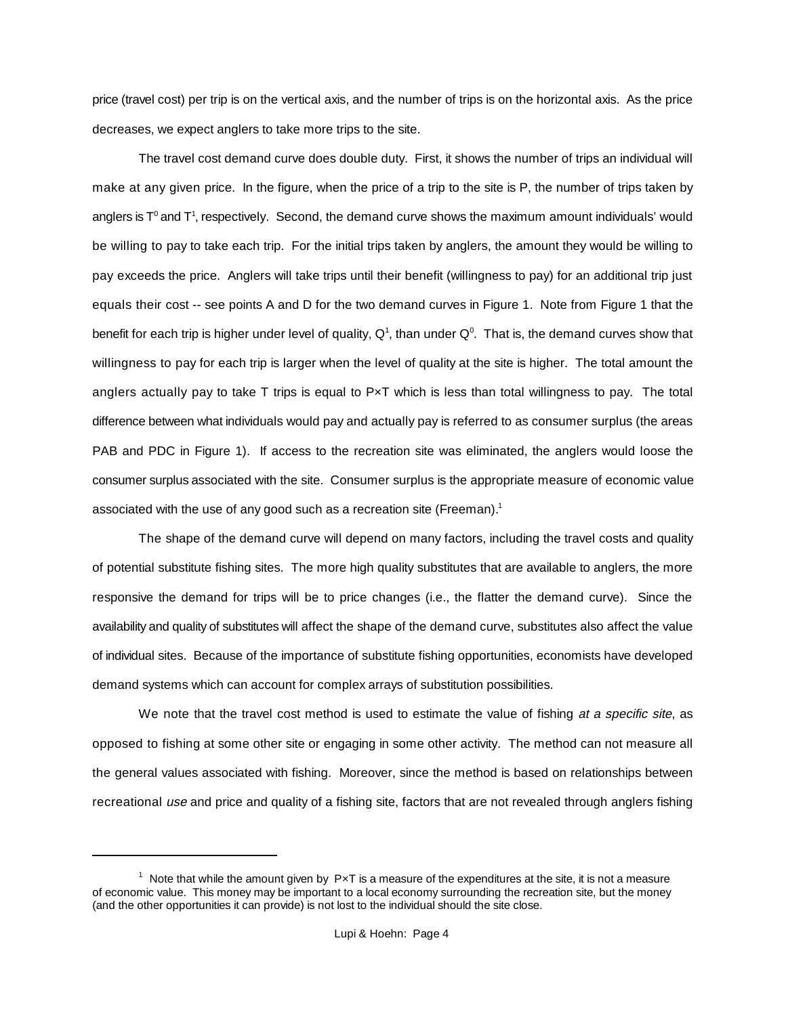price (travel cost) per trip is on the vertical axis, and the number of trips is on the horizontal axis. As the price decreases, we expect anglers to take more trips to the site.

The travel cost demand curve does double duty. First, it shows the number of trips an individual will make at any given price. In the figure, when the price of a trip to the site is P, the number of trips taken by anglers is  $T^0$  and  $T^1$ , respectively. Second, the demand curve shows the maximum amount individuals' would be willing to pay to take each trip. For the initial trips taken by anglers, the amount they would be willing to pay exceeds the price. Anglers will take trips until their benefit (willingness to pay) for an additional trip just equals their cost -- see points A and D for the two demand curves in Figure 1. Note from Figure 1 that the benefit for each trip is higher under level of quality,  $Q^1$ , than under  $Q^0$ . That is, the demand curves show that willingness to pay for each trip is larger when the level of quality at the site is higher. The total amount the anglers actually pay to take  $T$  trips is equal to  $PxT$  which is less than total willingness to pay. The total difference between what individuals would pay and actually pay is referred to as consumer surplus (the areas PAB and PDC in Figure 1). If access to the recreation site was eliminated, the anglers would loose the consumer surplus associated with the site. Consumer surplus is the appropriate measure of economic value associated with the use of any good such as a recreation site (Freeman).<sup>1</sup>

The shape of the demand curve will depend on many factors, including the travel costs and quality of potential substitute fishing sites. The more high quality substitutes that are available to anglers, the more responsive the demand for trips will be to price changes (i.e., the flatter the demand curve). Since the availability and quality of substitutes will affect the shape of the demand curve, substitutes also affect the value of individual sites. Because of the importance of substitute fishing opportunities, economists have developed demand systems which can account for complex arrays of substitution possibilities.

We note that the travel cost method is used to estimate the value of fishing at a specific site, as opposed to fishing at some other site or engaging in some other activity. The method can not measure all the general values associated with fishing. Moreover, since the method is based on relationships between recreational use and price and quality of a fishing site, factors that are not revealed through anglers fishing

 $1$  Note that while the amount given by PxT is a measure of the expenditures at the site, it is not a measure of economic value. This money may be important to a local economy surrounding the recreation site, but the money (and the other opportunities it can provide) is not lost to the individual should the site close.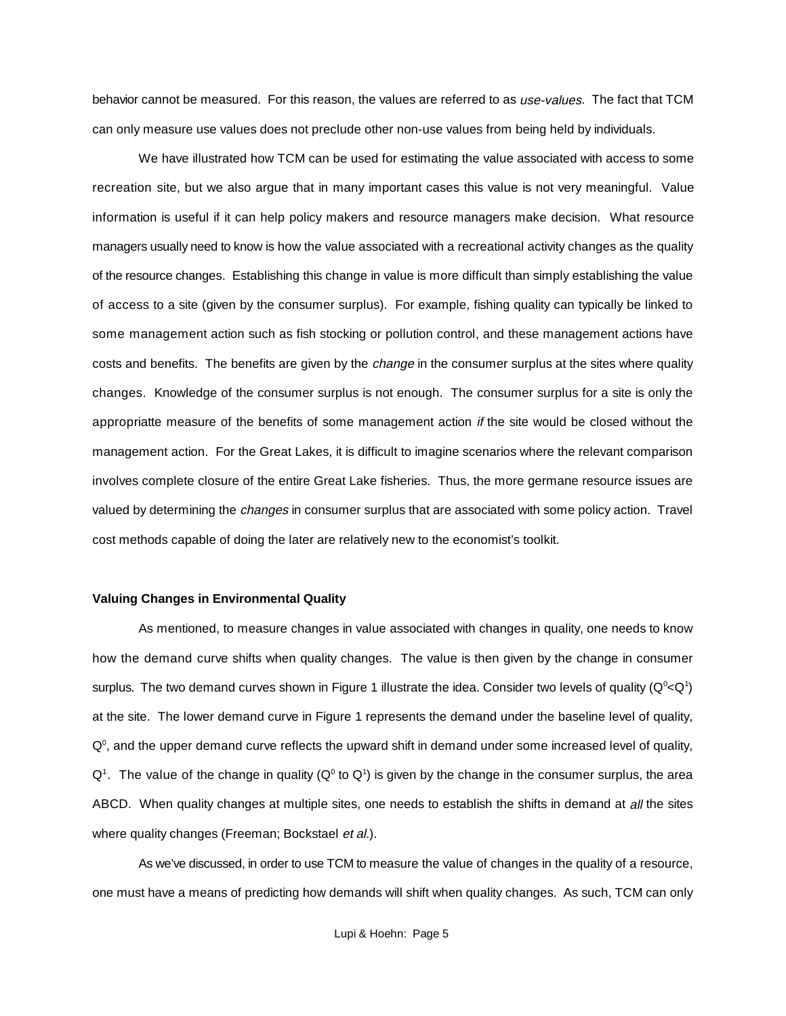behavior cannot be measured. For this reason, the values are referred to as use-values. The fact that TCM can only measure use values does not preclude other non-use values from being held by individuals.

We have illustrated how TCM can be used for estimating the value associated with access to some recreation site, but we also argue that in many important cases this value is not very meaningful. Value information is useful if it can help policy makers and resource managers make decision. What resource managers usually need to know is how the value associated with a recreational activity changes as the quality of the resource changes. Establishing this change in value is more difficult than simply establishing the value of access to a site (given by the consumer surplus). For example, fishing quality can typically be linked to some management action such as fish stocking or pollution control, and these management actions have costs and benefits. The benefits are given by the *change* in the consumer surplus at the sites where quality changes. Knowledge of the consumer surplus is not enough. The consumer surplus for a site is only the appropriatte measure of the benefits of some management action if the site would be closed without the management action. For the Great Lakes, it is difficult to imagine scenarios where the relevant comparison involves complete closure of the entire Great Lake fisheries. Thus, the more germane resource issues are valued by determining the *changes* in consumer surplus that are associated with some policy action. Travel cost methods capable of doing the later are relatively new to the economist's toolkit.

### **Valuing Changes in Environmental Quality**

As mentioned, to measure changes in value associated with changes in quality, one needs to know how the demand curve shifts when quality changes. The value is then given by the change in consumer surplus. The two demand curves shown in Figure 1 illustrate the idea. Consider two levels of quality ( $Q^{\circ} < Q^{\circ}$ ) at the site. The lower demand curve in Figure 1 represents the demand under the baseline level of quality,  $Q<sup>0</sup>$ , and the upper demand curve reflects the upward shift in demand under some increased level of quality,  $Q<sup>1</sup>$ . The value of the change in quality ( $Q<sup>0</sup>$  to  $Q<sup>1</sup>$ ) is given by the change in the consumer surplus, the area ABCD. When quality changes at multiple sites, one needs to establish the shifts in demand at all the sites where quality changes (Freeman; Bockstael et al.).

As we've discussed, in order to use TCM to measure the value of changes in the quality of a resource, one must have a means of predicting how demands will shift when quality changes. As such, TCM can only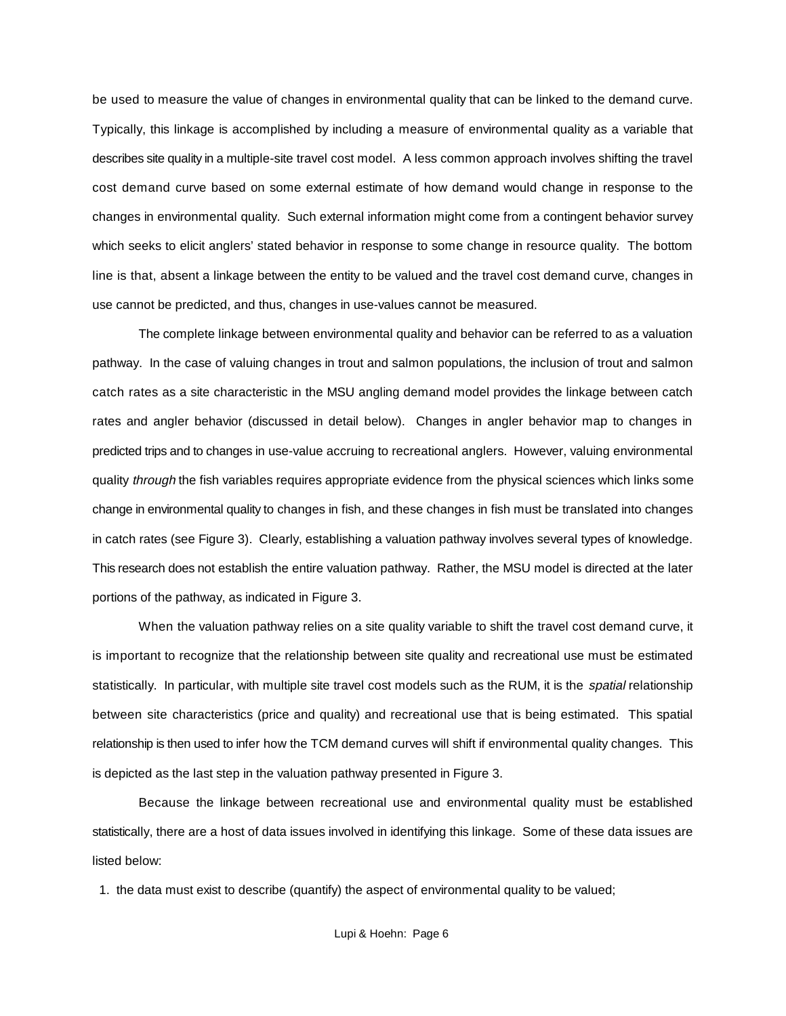be used to measure the value of changes in environmental quality that can be linked to the demand curve. Typically, this linkage is accomplished by including a measure of environmental quality as a variable that describes site quality in a multiple-site travel cost model. A less common approach involves shifting the travel cost demand curve based on some external estimate of how demand would change in response to the changes in environmental quality. Such external information might come from a contingent behavior survey which seeks to elicit anglers' stated behavior in response to some change in resource quality. The bottom line is that, absent a linkage between the entity to be valued and the travel cost demand curve, changes in use cannot be predicted, and thus, changes in use-values cannot be measured.

The complete linkage between environmental quality and behavior can be referred to as a valuation pathway. In the case of valuing changes in trout and salmon populations, the inclusion of trout and salmon catch rates as a site characteristic in the MSU angling demand model provides the linkage between catch rates and angler behavior (discussed in detail below). Changes in angler behavior map to changes in predicted trips and to changes in use-value accruing to recreational anglers. However, valuing environmental quality through the fish variables requires appropriate evidence from the physical sciences which links some change in environmental quality to changes in fish, and these changes in fish must be translated into changes in catch rates (see Figure 3). Clearly, establishing a valuation pathway involves several types of knowledge. This research does not establish the entire valuation pathway. Rather, the MSU model is directed at the later portions of the pathway, as indicated in Figure 3.

When the valuation pathway relies on a site quality variable to shift the travel cost demand curve, it is important to recognize that the relationship between site quality and recreational use must be estimated statistically. In particular, with multiple site travel cost models such as the RUM, it is the *spatial* relationship between site characteristics (price and quality) and recreational use that is being estimated. This spatial relationship is then used to infer how the TCM demand curves will shift if environmental quality changes. This is depicted as the last step in the valuation pathway presented in Figure 3.

Because the linkage between recreational use and environmental quality must be established statistically, there are a host of data issues involved in identifying this linkage. Some of these data issues are listed below:

1. the data must exist to describe (quantify) the aspect of environmental quality to be valued;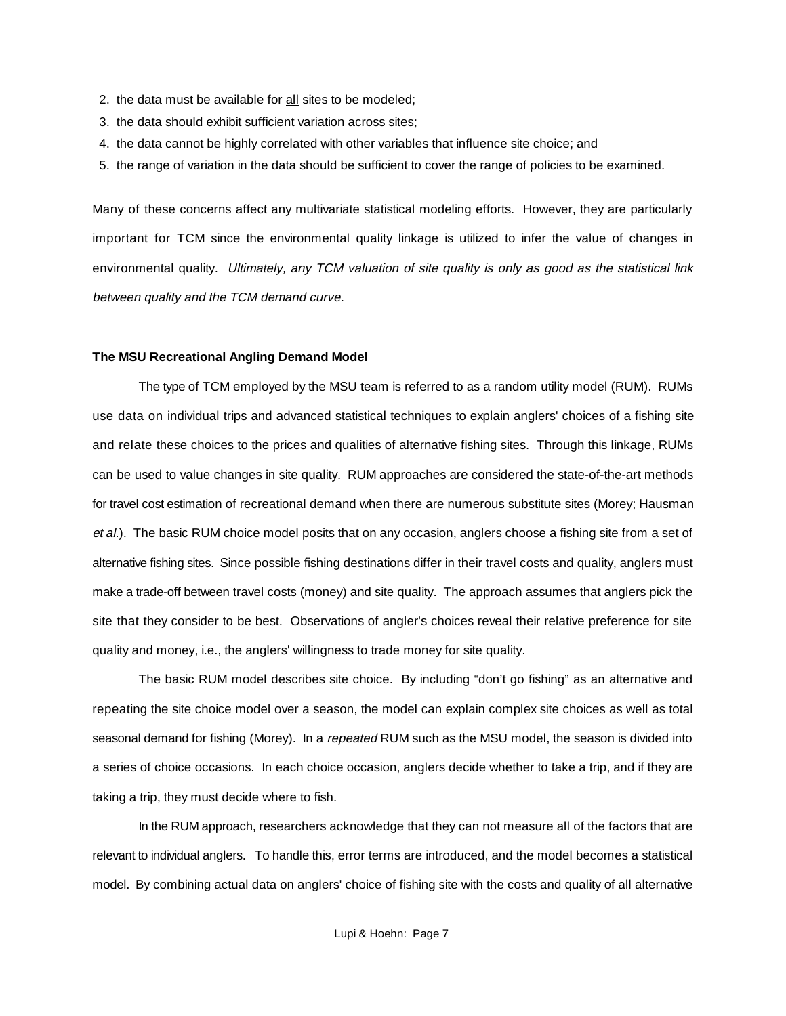- 2. the data must be available for all sites to be modeled;
- 3. the data should exhibit sufficient variation across sites;
- 4. the data cannot be highly correlated with other variables that influence site choice; and
- 5. the range of variation in the data should be sufficient to cover the range of policies to be examined.

Many of these concerns affect any multivariate statistical modeling efforts. However, they are particularly important for TCM since the environmental quality linkage is utilized to infer the value of changes in environmental quality. Ultimately, any TCM valuation of site quality is only as good as the statistical link between quality and the TCM demand curve.

#### **The MSU Recreational Angling Demand Model**

The type of TCM employed by the MSU team is referred to as a random utility model (RUM). RUMs use data on individual trips and advanced statistical techniques to explain anglers' choices of a fishing site and relate these choices to the prices and qualities of alternative fishing sites. Through this linkage, RUMs can be used to value changes in site quality. RUM approaches are considered the state-of-the-art methods for travel cost estimation of recreational demand when there are numerous substitute sites (Morey; Hausman et al.). The basic RUM choice model posits that on any occasion, anglers choose a fishing site from a set of alternative fishing sites. Since possible fishing destinations differ in their travel costs and quality, anglers must make a trade-off between travel costs (money) and site quality. The approach assumes that anglers pick the site that they consider to be best. Observations of angler's choices reveal their relative preference for site quality and money, i.e., the anglers' willingness to trade money for site quality.

The basic RUM model describes site choice. By including "don't go fishing" as an alternative and repeating the site choice model over a season, the model can explain complex site choices as well as total seasonal demand for fishing (Morey). In a repeated RUM such as the MSU model, the season is divided into a series of choice occasions. In each choice occasion, anglers decide whether to take a trip, and if they are taking a trip, they must decide where to fish.

In the RUM approach, researchers acknowledge that they can not measure all of the factors that are relevant to individual anglers. To handle this, error terms are introduced, and the model becomes a statistical model. By combining actual data on anglers' choice of fishing site with the costs and quality of all alternative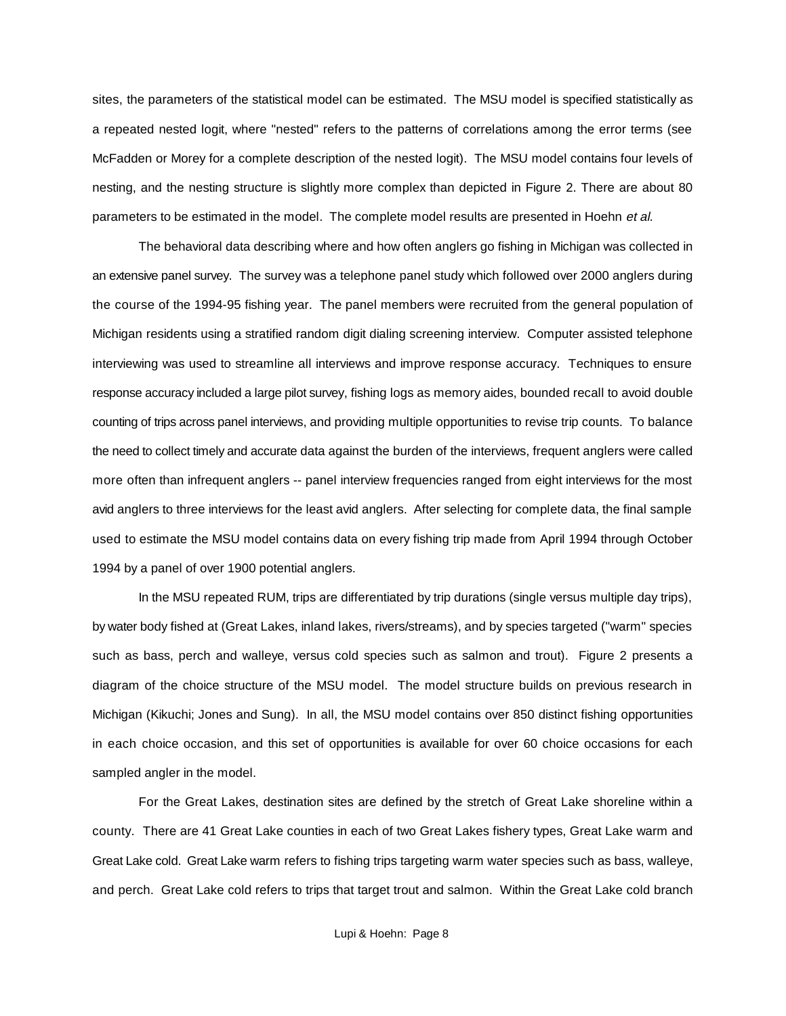sites, the parameters of the statistical model can be estimated. The MSU model is specified statistically as a repeated nested logit, where "nested" refers to the patterns of correlations among the error terms (see McFadden or Morey for a complete description of the nested logit). The MSU model contains four levels of nesting, and the nesting structure is slightly more complex than depicted in Figure 2. There are about 80 parameters to be estimated in the model. The complete model results are presented in Hoehn et al.

The behavioral data describing where and how often anglers go fishing in Michigan was collected in an extensive panel survey. The survey was a telephone panel study which followed over 2000 anglers during the course of the 1994-95 fishing year. The panel members were recruited from the general population of Michigan residents using a stratified random digit dialing screening interview. Computer assisted telephone interviewing was used to streamline all interviews and improve response accuracy. Techniques to ensure response accuracy included a large pilot survey, fishing logs as memory aides, bounded recall to avoid double counting of trips across panel interviews, and providing multiple opportunities to revise trip counts. To balance the need to collect timely and accurate data against the burden of the interviews, frequent anglers were called more often than infrequent anglers -- panel interview frequencies ranged from eight interviews for the most avid anglers to three interviews for the least avid anglers. After selecting for complete data, the final sample used to estimate the MSU model contains data on every fishing trip made from April 1994 through October 1994 by a panel of over 1900 potential anglers.

In the MSU repeated RUM, trips are differentiated by trip durations (single versus multiple day trips), by water body fished at (Great Lakes, inland lakes, rivers/streams), and by species targeted ("warm" species such as bass, perch and walleye, versus cold species such as salmon and trout). Figure 2 presents a diagram of the choice structure of the MSU model. The model structure builds on previous research in Michigan (Kikuchi; Jones and Sung). In all, the MSU model contains over 850 distinct fishing opportunities in each choice occasion, and this set of opportunities is available for over 60 choice occasions for each sampled angler in the model.

For the Great Lakes, destination sites are defined by the stretch of Great Lake shoreline within a county. There are 41 Great Lake counties in each of two Great Lakes fishery types, Great Lake warm and Great Lake cold. Great Lake warm refers to fishing trips targeting warm water species such as bass, walleye, and perch. Great Lake cold refers to trips that target trout and salmon. Within the Great Lake cold branch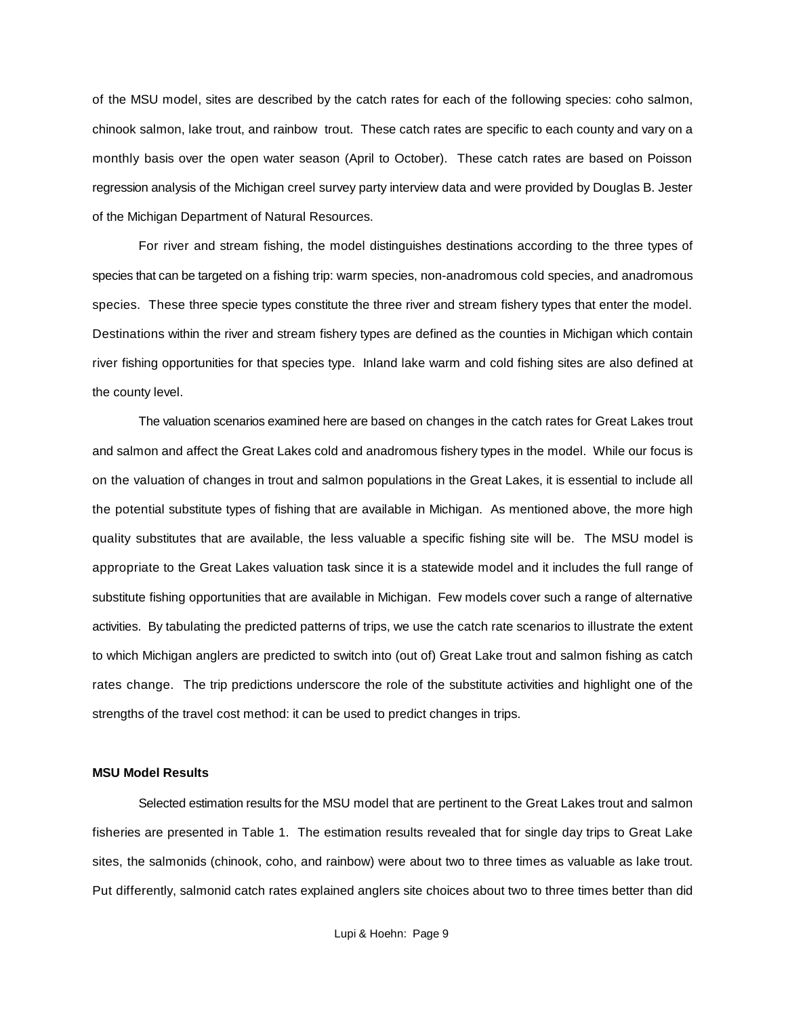of the MSU model, sites are described by the catch rates for each of the following species: coho salmon, chinook salmon, lake trout, and rainbow trout. These catch rates are specific to each county and vary on a monthly basis over the open water season (April to October). These catch rates are based on Poisson regression analysis of the Michigan creel survey party interview data and were provided by Douglas B. Jester of the Michigan Department of Natural Resources.

For river and stream fishing, the model distinguishes destinations according to the three types of species that can be targeted on a fishing trip: warm species, non-anadromous cold species, and anadromous species. These three specie types constitute the three river and stream fishery types that enter the model. Destinations within the river and stream fishery types are defined as the counties in Michigan which contain river fishing opportunities for that species type. Inland lake warm and cold fishing sites are also defined at the county level.

The valuation scenarios examined here are based on changes in the catch rates for Great Lakes trout and salmon and affect the Great Lakes cold and anadromous fishery types in the model. While our focus is on the valuation of changes in trout and salmon populations in the Great Lakes, it is essential to include all the potential substitute types of fishing that are available in Michigan. As mentioned above, the more high quality substitutes that are available, the less valuable a specific fishing site will be. The MSU model is appropriate to the Great Lakes valuation task since it is a statewide model and it includes the full range of substitute fishing opportunities that are available in Michigan. Few models cover such a range of alternative activities. By tabulating the predicted patterns of trips, we use the catch rate scenarios to illustrate the extent to which Michigan anglers are predicted to switch into (out of) Great Lake trout and salmon fishing as catch rates change. The trip predictions underscore the role of the substitute activities and highlight one of the strengths of the travel cost method: it can be used to predict changes in trips.

### **MSU Model Results**

Selected estimation results for the MSU model that are pertinent to the Great Lakes trout and salmon fisheries are presented in Table 1. The estimation results revealed that for single day trips to Great Lake sites, the salmonids (chinook, coho, and rainbow) were about two to three times as valuable as lake trout. Put differently, salmonid catch rates explained anglers site choices about two to three times better than did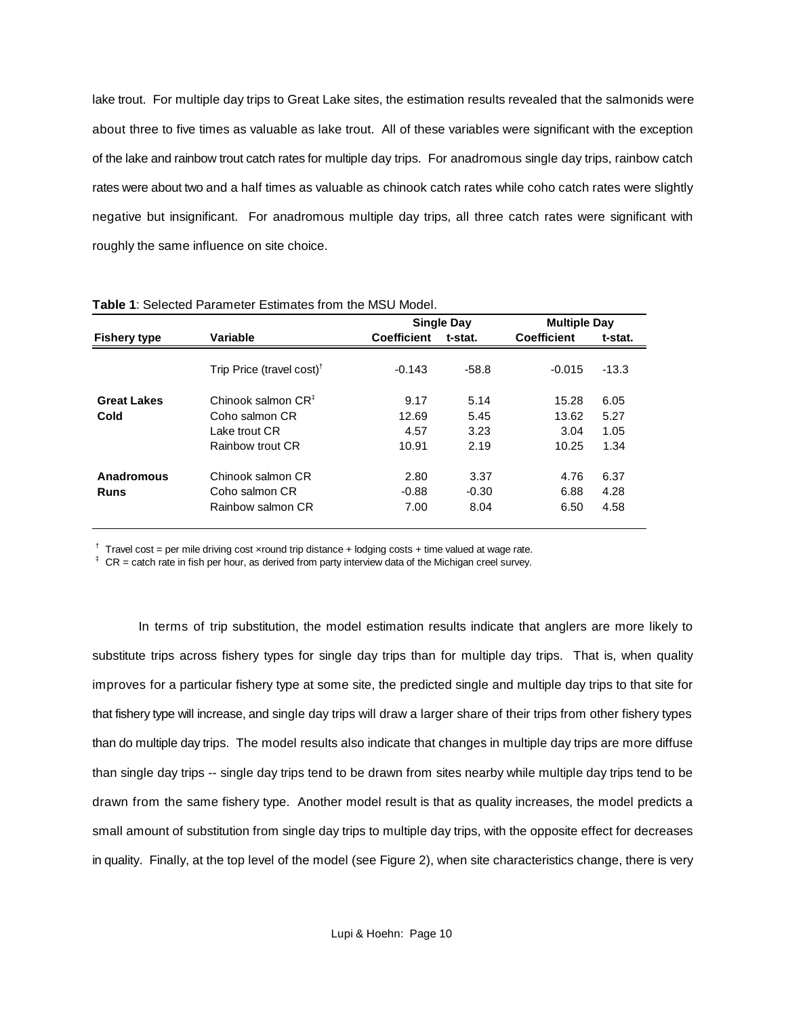lake trout. For multiple day trips to Great Lake sites, the estimation results revealed that the salmonids were about three to five times as valuable as lake trout. All of these variables were significant with the exception of the lake and rainbow trout catch rates for multiple day trips. For anadromous single day trips, rainbow catch rates were about two and a half times as valuable as chinook catch rates while coho catch rates were slightly negative but insignificant. For anadromous multiple day trips, all three catch rates were significant with roughly the same influence on site choice.

|                                                                                                                                                                                                         | <b>Single Day</b> |                    | <b>Multiple Day</b> |  |
|---------------------------------------------------------------------------------------------------------------------------------------------------------------------------------------------------------|-------------------|--------------------|---------------------|--|
| <b>Coefficient</b>                                                                                                                                                                                      | t-stat.           | <b>Coefficient</b> | t-stat.             |  |
| $-0.143$                                                                                                                                                                                                | $-58.8$           | $-0.015$           | $-13.3$             |  |
| 9.17                                                                                                                                                                                                    | 5.14              | 15.28              | 6.05                |  |
| 12.69                                                                                                                                                                                                   | 5.45              | 13.62              | 5.27                |  |
| 4.57                                                                                                                                                                                                    | 3.23              | 3.04               | 1.05                |  |
| 10.91                                                                                                                                                                                                   | 2.19              | 10.25              | 1.34                |  |
| 2.80                                                                                                                                                                                                    | 3.37              | 4.76               | 6.37                |  |
| $-0.88$                                                                                                                                                                                                 | $-0.30$           | 6.88               | 4.28                |  |
| 7.00                                                                                                                                                                                                    | 8.04              | 6.50               | 4.58                |  |
| Variable<br>Trip Price (travel cost) <sup>†</sup><br>Chinook salmon $CR^{\ddagger}$<br>Coho salmon CR<br>Lake trout CR.<br>Rainbow trout CR<br>Chinook salmon CR<br>Coho salmon CR<br>Rainbow salmon CR |                   |                    |                     |  |

**Table 1**: Selected Parameter Estimates from the MSU Model.

 $\dagger$  Travel cost = per mile driving cost xround trip distance + lodging costs + time valued at wage rate.

 $*$  CR = catch rate in fish per hour, as derived from party interview data of the Michigan creel survey.

In terms of trip substitution, the model estimation results indicate that anglers are more likely to substitute trips across fishery types for single day trips than for multiple day trips. That is, when quality improves for a particular fishery type at some site, the predicted single and multiple day trips to that site for that fishery type will increase, and single day trips will draw a larger share of their trips from other fishery types than do multiple day trips. The model results also indicate that changes in multiple day trips are more diffuse than single day trips -- single day trips tend to be drawn from sites nearby while multiple day trips tend to be drawn from the same fishery type. Another model result is that as quality increases, the model predicts a small amount of substitution from single day trips to multiple day trips, with the opposite effect for decreases in quality. Finally, at the top level of the model (see Figure 2), when site characteristics change, there is very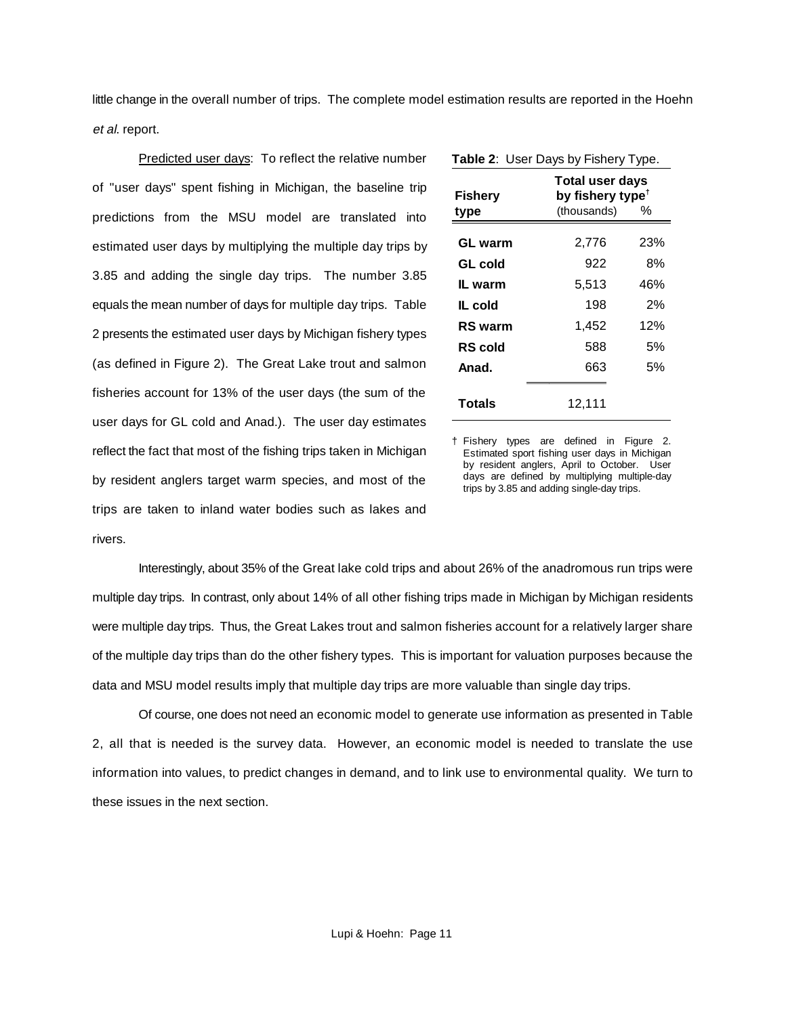little change in the overall number of trips. The complete model estimation results are reported in the Hoehn et al. report.

Predicted user days: To reflect the relative number of "user days" spent fishing in Michigan, the baseline trip predictions from the MSU model are translated into estimated user days by multiplying the multiple day trips by 3.85 and adding the single day trips. The number 3.85 equals the mean number of days for multiple day trips. Table 2 presents the estimated user days by Michigan fishery types (as defined in Figure 2). The Great Lake trout and salmon fisheries account for 13% of the user days (the sum of the user days for GL cold and Anad.). The user day estimates reflect the fact that most of the fishing trips taken in Michigan by resident anglers target warm species, and most of the trips are taken to inland water bodies such as lakes and rivers.

| Table 2: User Days by Fishery Type. |             |                                                             |  |  |  |
|-------------------------------------|-------------|-------------------------------------------------------------|--|--|--|
| Fishery<br>type                     | (thousands) | <b>Total user days</b><br>by fishery type <sup>t</sup><br>% |  |  |  |
| GL warm                             | 2,776       | 23%                                                         |  |  |  |
| GL cold                             | 922         | 8%                                                          |  |  |  |
| IL warm                             | 5,513       | 46%                                                         |  |  |  |
| IL cold                             | 198         | 2%                                                          |  |  |  |
| <b>RS</b> warm                      | 1,452       | 12%                                                         |  |  |  |
| <b>RS</b> cold                      | 588         | 5%                                                          |  |  |  |
| Anad.                               | 663         | 5%                                                          |  |  |  |
|                                     |             |                                                             |  |  |  |
| Totals                              | 12,111      |                                                             |  |  |  |

† Fishery types are defined in Figure 2. Estimated sport fishing user days in Michigan by resident anglers, April to October. User days are defined by multiplying multiple-day trips by 3.85 and adding single-day trips.

Interestingly, about 35% of the Great lake cold trips and about 26% of the anadromous run trips were multiple day trips. In contrast, only about 14% of all other fishing trips made in Michigan by Michigan residents were multiple day trips. Thus, the Great Lakes trout and salmon fisheries account for a relatively larger share of the multiple day trips than do the other fishery types. This is important for valuation purposes because the data and MSU model results imply that multiple day trips are more valuable than single day trips.

Of course, one does not need an economic model to generate use information as presented in Table 2, all that is needed is the survey data. However, an economic model is needed to translate the use information into values, to predict changes in demand, and to link use to environmental quality. We turn to these issues in the next section.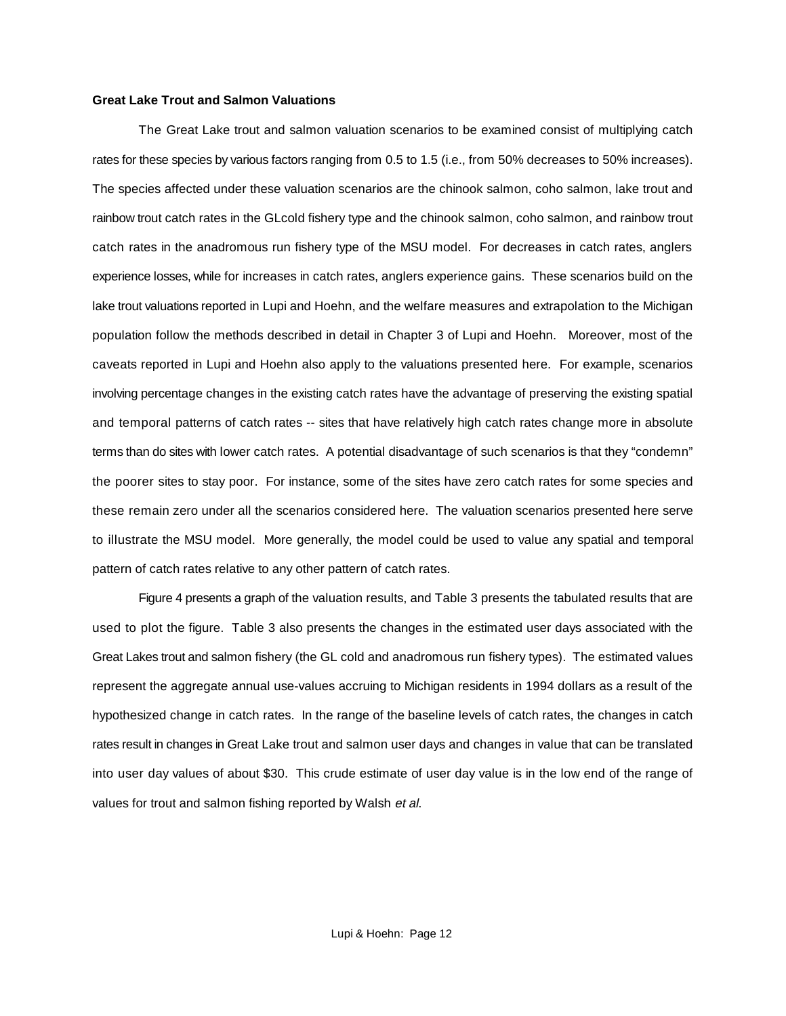#### **Great Lake Trout and Salmon Valuations**

The Great Lake trout and salmon valuation scenarios to be examined consist of multiplying catch rates for these species by various factors ranging from 0.5 to 1.5 (i.e., from 50% decreases to 50% increases). The species affected under these valuation scenarios are the chinook salmon, coho salmon, lake trout and rainbow trout catch rates in the GLcold fishery type and the chinook salmon, coho salmon, and rainbow trout catch rates in the anadromous run fishery type of the MSU model. For decreases in catch rates, anglers experience losses, while for increases in catch rates, anglers experience gains. These scenarios build on the lake trout valuations reported in Lupi and Hoehn, and the welfare measures and extrapolation to the Michigan population follow the methods described in detail in Chapter 3 of Lupi and Hoehn. Moreover, most of the caveats reported in Lupi and Hoehn also apply to the valuations presented here. For example, scenarios involving percentage changes in the existing catch rates have the advantage of preserving the existing spatial and temporal patterns of catch rates -- sites that have relatively high catch rates change more in absolute terms than do sites with lower catch rates. A potential disadvantage of such scenarios is that they "condemn" the poorer sites to stay poor. For instance, some of the sites have zero catch rates for some species and these remain zero under all the scenarios considered here. The valuation scenarios presented here serve to illustrate the MSU model. More generally, the model could be used to value any spatial and temporal pattern of catch rates relative to any other pattern of catch rates.

Figure 4 presents a graph of the valuation results, and Table 3 presents the tabulated results that are used to plot the figure. Table 3 also presents the changes in the estimated user days associated with the Great Lakes trout and salmon fishery (the GL cold and anadromous run fishery types). The estimated values represent the aggregate annual use-values accruing to Michigan residents in 1994 dollars as a result of the hypothesized change in catch rates. In the range of the baseline levels of catch rates, the changes in catch rates result in changes in Great Lake trout and salmon user days and changes in value that can be translated into user day values of about \$30. This crude estimate of user day value is in the low end of the range of values for trout and salmon fishing reported by Walsh et al.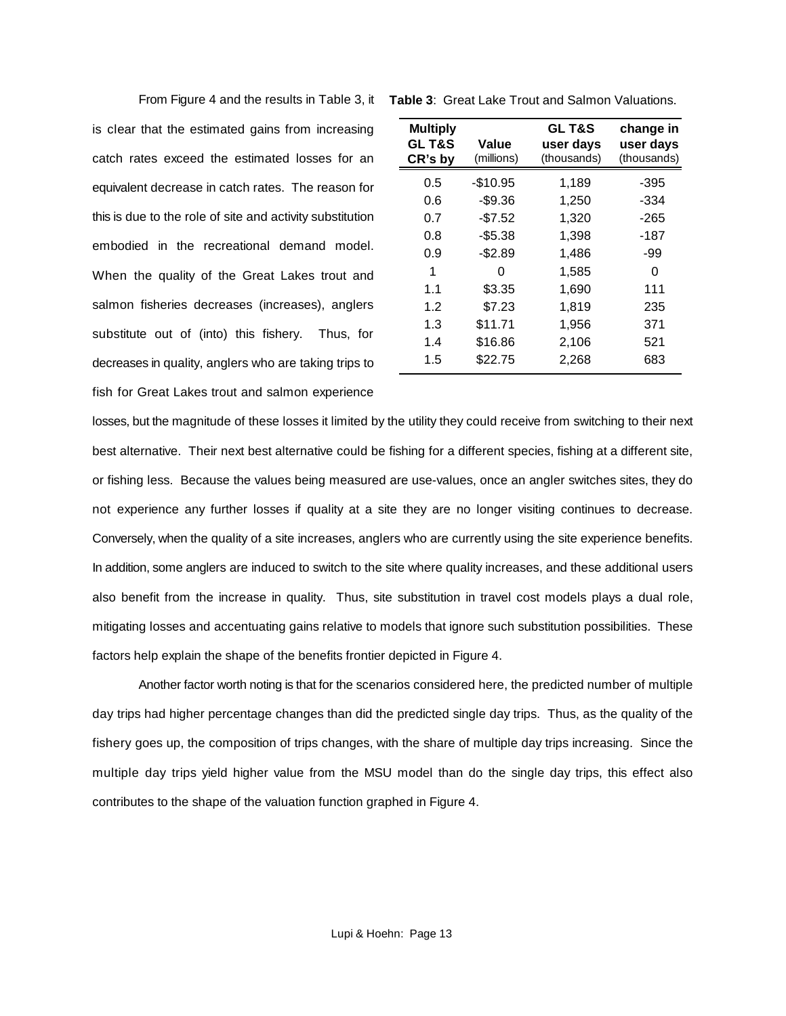is clear that the estimated gains from increasing catch rates exceed the estimated losses for an equivalent decrease in catch rates. The reason for this is due to the role of site and activity substitution embodied in the recreational demand model. When the quality of the Great Lakes trout and salmon fisheries decreases (increases), anglers substitute out of (into) this fishery. Thus, for decreases in quality, anglers who are taking trips to fish for Great Lakes trout and salmon experience

| <b>Multiply</b><br><b>GLT&amp;S</b><br>CR's by | Value<br>(millions) | <b>GLT&amp;S</b><br>user days<br>(thousands) | change in<br>user days<br>(thousands) |
|------------------------------------------------|---------------------|----------------------------------------------|---------------------------------------|
| 0.5                                            | $-$10.95$           | 1,189                                        | -395                                  |
| 0.6                                            | -\$9.36             | 1,250                                        | $-334$                                |
| 0.7                                            | $-$7.52$            | 1,320                                        | -265                                  |
| 0.8                                            | $-$5.38$            | 1,398                                        | -187                                  |
| 0.9                                            | -\$2.89             | 1,486                                        | -99                                   |
| 1                                              | O                   | 1,585                                        | 0                                     |
| 1.1                                            | \$3.35              | 1,690                                        | 111                                   |
| 1.2                                            | \$7.23              | 1,819                                        | 235                                   |
| 1.3                                            | \$11.71             | 1,956                                        | 371                                   |
| 1.4                                            | \$16.86             | 2,106                                        | 521                                   |
| 1.5                                            | \$22.75             | 2,268                                        | 683                                   |

losses, but the magnitude of these losses it limited by the utility they could receive from switching to their next best alternative. Their next best alternative could be fishing for a different species, fishing at a different site, or fishing less. Because the values being measured are use-values, once an angler switches sites, they do not experience any further losses if quality at a site they are no longer visiting continues to decrease. Conversely, when the quality of a site increases, anglers who are currently using the site experience benefits. In addition, some anglers are induced to switch to the site where quality increases, and these additional users also benefit from the increase in quality. Thus, site substitution in travel cost models plays a dual role, mitigating losses and accentuating gains relative to models that ignore such substitution possibilities. These factors help explain the shape of the benefits frontier depicted in Figure 4.

Another factor worth noting is that for the scenarios considered here, the predicted number of multiple day trips had higher percentage changes than did the predicted single day trips. Thus, as the quality of the fishery goes up, the composition of trips changes, with the share of multiple day trips increasing. Since the multiple day trips yield higher value from the MSU model than do the single day trips, this effect also contributes to the shape of the valuation function graphed in Figure 4.

From Figure 4 and the results in Table 3, it **Table 3**: Great Lake Trout and Salmon Valuations.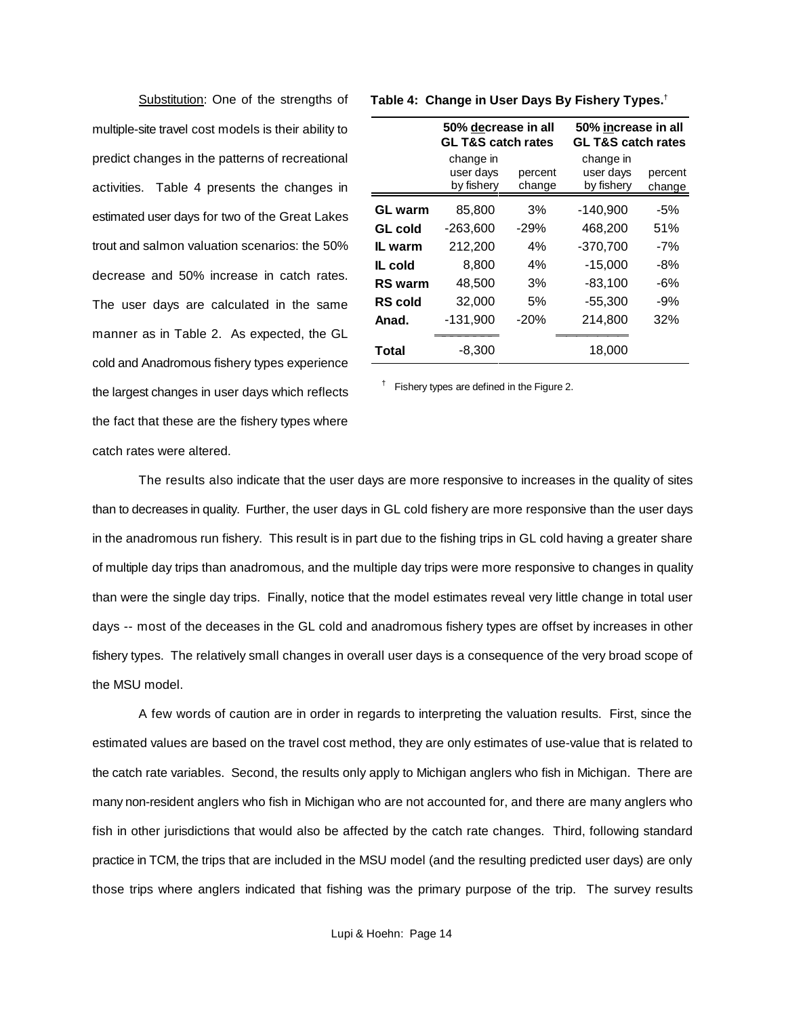multiple-site travel cost models is their ability to predict changes in the patterns of recreational activities. Table 4 presents the changes in estimated user days for two of the Great Lakes trout and salmon valuation scenarios: the 50% decrease and 50% increase in catch rates. The user days are calculated in the same manner as in Table 2. As expected, the GL cold and Anadromous fishery types experience the largest changes in user days which reflects the fact that these are the fishery types where catch rates were altered.

|                | 50% decrease in all<br><b>GL T&amp;S catch rates</b> |                   | 50% increase in all<br><b>GL T&amp;S catch rates</b> |                   |  |
|----------------|------------------------------------------------------|-------------------|------------------------------------------------------|-------------------|--|
|                | change in<br>user days<br>by fishery                 | percent<br>change | change in<br>user days<br>by fishery                 | percent<br>change |  |
| <b>GL</b> warm | 85,800                                               | 3%                | $-140,900$                                           | -5%               |  |
| GL cold        | $-263,600$                                           | $-29%$            | 468,200                                              | 51%               |  |
| IL warm        | 212,200                                              | 4%                | $-370,700$                                           | -7%               |  |
| IL cold        | 8,800                                                | 4%                | $-15,000$                                            | -8%               |  |
| <b>RS</b> warm | 48,500                                               | 3%                | $-83,100$                                            | -6%               |  |
| <b>RS</b> cold | 32,000                                               | 5%                | $-55,300$                                            | -9%               |  |
| Anad.          | $-131,900$                                           | $-20%$            | 214,800                                              | 32%               |  |
| Total          | $-8,300$                                             |                   | 18,000                                               |                   |  |

Substitution: One of the strengths of **Table 4: Change in User Days By Fishery Types.**<sup>†</sup>

 $\dagger$  Fishery types are defined in the Figure 2.

The results also indicate that the user days are more responsive to increases in the quality of sites than to decreases in quality. Further, the user days in GL cold fishery are more responsive than the user days in the anadromous run fishery. This result is in part due to the fishing trips in GL cold having a greater share of multiple day trips than anadromous, and the multiple day trips were more responsive to changes in quality than were the single day trips. Finally, notice that the model estimates reveal very little change in total user days -- most of the deceases in the GL cold and anadromous fishery types are offset by increases in other fishery types. The relatively small changes in overall user days is a consequence of the very broad scope of the MSU model.

A few words of caution are in order in regards to interpreting the valuation results. First, since the estimated values are based on the travel cost method, they are only estimates of use-value that is related to the catch rate variables. Second, the results only apply to Michigan anglers who fish in Michigan. There are many non-resident anglers who fish in Michigan who are not accounted for, and there are many anglers who fish in other jurisdictions that would also be affected by the catch rate changes. Third, following standard practice in TCM, the trips that are included in the MSU model (and the resulting predicted user days) are only those trips where anglers indicated that fishing was the primary purpose of the trip. The survey results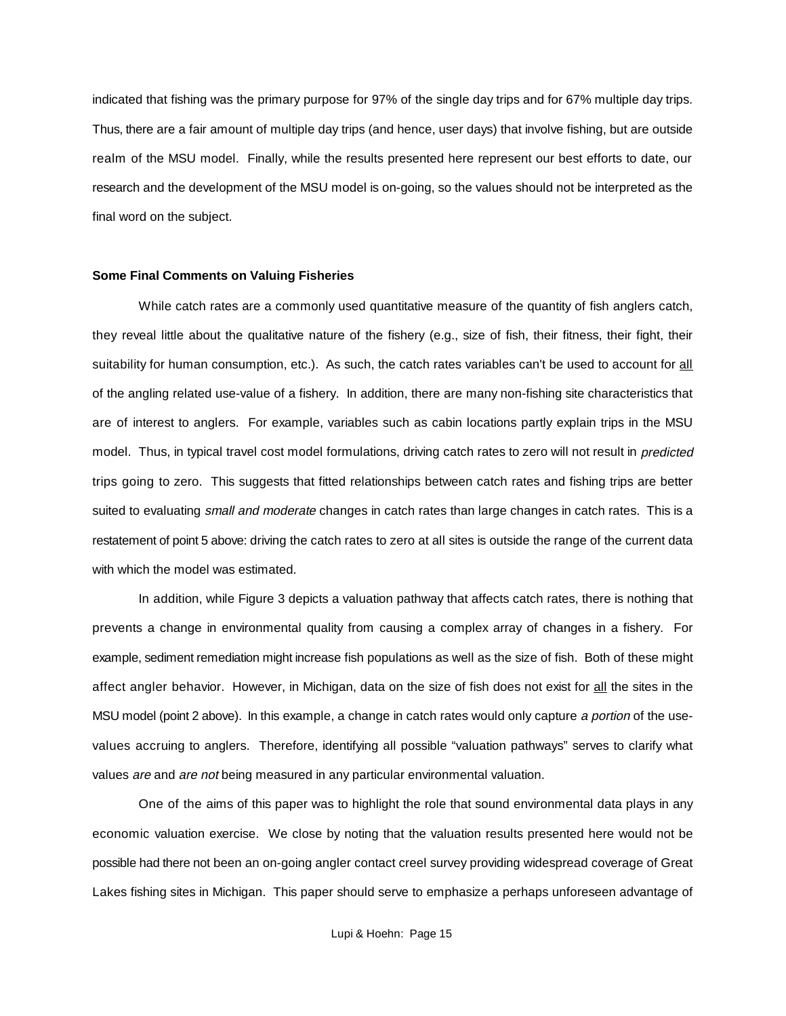indicated that fishing was the primary purpose for 97% of the single day trips and for 67% multiple day trips. Thus, there are a fair amount of multiple day trips (and hence, user days) that involve fishing, but are outside realm of the MSU model. Finally, while the results presented here represent our best efforts to date, our research and the development of the MSU model is on-going, so the values should not be interpreted as the final word on the subject.

#### **Some Final Comments on Valuing Fisheries**

While catch rates are a commonly used quantitative measure of the quantity of fish anglers catch, they reveal little about the qualitative nature of the fishery (e.g., size of fish, their fitness, their fight, their suitability for human consumption, etc.). As such, the catch rates variables can't be used to account for all of the angling related use-value of a fishery. In addition, there are many non-fishing site characteristics that are of interest to anglers. For example, variables such as cabin locations partly explain trips in the MSU model. Thus, in typical travel cost model formulations, driving catch rates to zero will not result in predicted trips going to zero. This suggests that fitted relationships between catch rates and fishing trips are better suited to evaluating small and moderate changes in catch rates than large changes in catch rates. This is a restatement of point 5 above: driving the catch rates to zero at all sites is outside the range of the current data with which the model was estimated.

In addition, while Figure 3 depicts a valuation pathway that affects catch rates, there is nothing that prevents a change in environmental quality from causing a complex array of changes in a fishery. For example, sediment remediation might increase fish populations as well as the size of fish. Both of these might affect angler behavior. However, in Michigan, data on the size of fish does not exist for all the sites in the MSU model (point 2 above). In this example, a change in catch rates would only capture a portion of the usevalues accruing to anglers. Therefore, identifying all possible "valuation pathways" serves to clarify what values *are* and *are not* being measured in any particular environmental valuation.

One of the aims of this paper was to highlight the role that sound environmental data plays in any economic valuation exercise. We close by noting that the valuation results presented here would not be possible had there not been an on-going angler contact creel survey providing widespread coverage of Great Lakes fishing sites in Michigan. This paper should serve to emphasize a perhaps unforeseen advantage of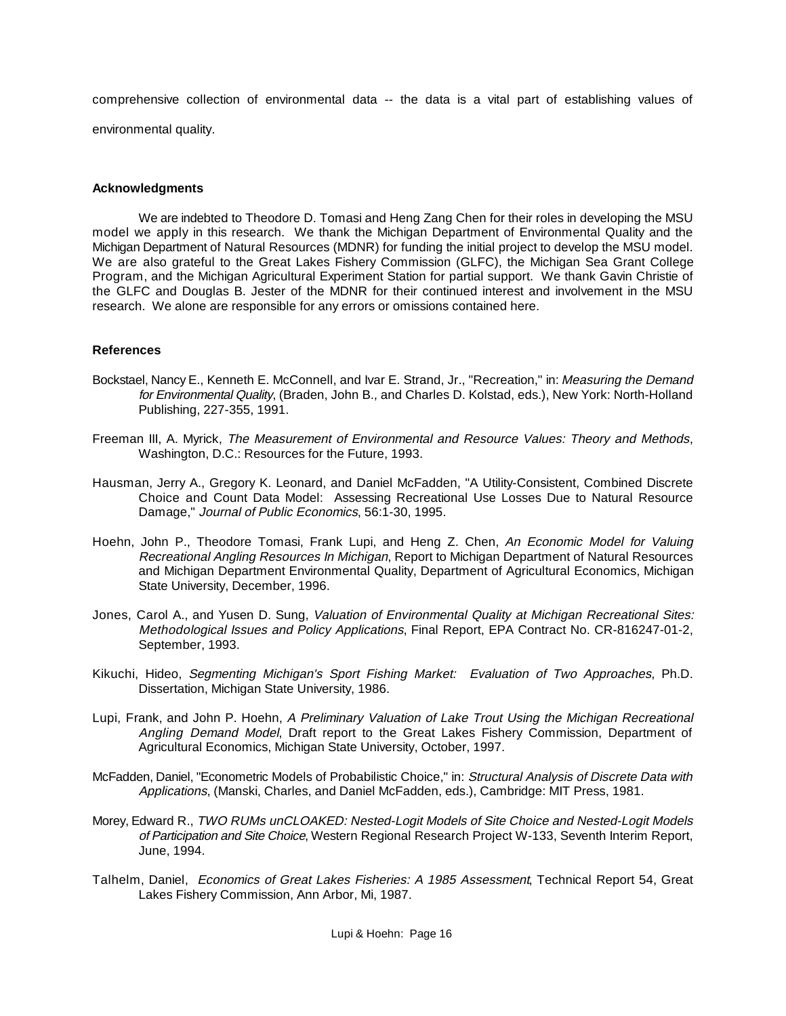comprehensive collection of environmental data -- the data is a vital part of establishing values of environmental quality.

### **Acknowledgments**

We are indebted to Theodore D. Tomasi and Heng Zang Chen for their roles in developing the MSU model we apply in this research. We thank the Michigan Department of Environmental Quality and the Michigan Department of Natural Resources (MDNR) for funding the initial project to develop the MSU model. We are also grateful to the Great Lakes Fishery Commission (GLFC), the Michigan Sea Grant College Program, and the Michigan Agricultural Experiment Station for partial support. We thank Gavin Christie of the GLFC and Douglas B. Jester of the MDNR for their continued interest and involvement in the MSU research. We alone are responsible for any errors or omissions contained here.

#### **References**

- Bockstael, Nancy E., Kenneth E. McConnell, and Ivar E. Strand, Jr., "Recreation," in: Measuring the Demand for Environmental Quality, (Braden, John B., and Charles D. Kolstad, eds.), New York: North-Holland Publishing, 227-355, 1991.
- Freeman III, A. Myrick, The Measurement of Environmental and Resource Values: Theory and Methods, Washington, D.C.: Resources for the Future, 1993.
- Hausman, Jerry A., Gregory K. Leonard, and Daniel McFadden, "A Utility-Consistent, Combined Discrete Choice and Count Data Model: Assessing Recreational Use Losses Due to Natural Resource Damage," Journal of Public Economics, 56:1-30, 1995.
- Hoehn, John P., Theodore Tomasi, Frank Lupi, and Heng Z. Chen, An Economic Model for Valuing Recreational Angling Resources In Michigan, Report to Michigan Department of Natural Resources and Michigan Department Environmental Quality, Department of Agricultural Economics, Michigan State University, December, 1996.
- Jones, Carol A., and Yusen D. Sung, Valuation of Environmental Quality at Michigan Recreational Sites: Methodological Issues and Policy Applications, Final Report, EPA Contract No. CR-816247-01-2, September, 1993.
- Kikuchi, Hideo, Segmenting Michigan's Sport Fishing Market: Evaluation of Two Approaches, Ph.D. Dissertation, Michigan State University, 1986.
- Lupi, Frank, and John P. Hoehn, A Preliminary Valuation of Lake Trout Using the Michigan Recreational Angling Demand Model, Draft report to the Great Lakes Fishery Commission, Department of Agricultural Economics, Michigan State University, October, 1997.
- McFadden, Daniel, "Econometric Models of Probabilistic Choice," in: Structural Analysis of Discrete Data with Applications, (Manski, Charles, and Daniel McFadden, eds.), Cambridge: MIT Press, 1981.
- Morey, Edward R., TWO RUMs unCLOAKED: Nested-Logit Models of Site Choice and Nested-Logit Models of Participation and Site Choice, Western Regional Research Project W-133, Seventh Interim Report, June, 1994.
- Talhelm, Daniel, Economics of Great Lakes Fisheries: A 1985 Assessment, Technical Report 54, Great Lakes Fishery Commission, Ann Arbor, Mi, 1987.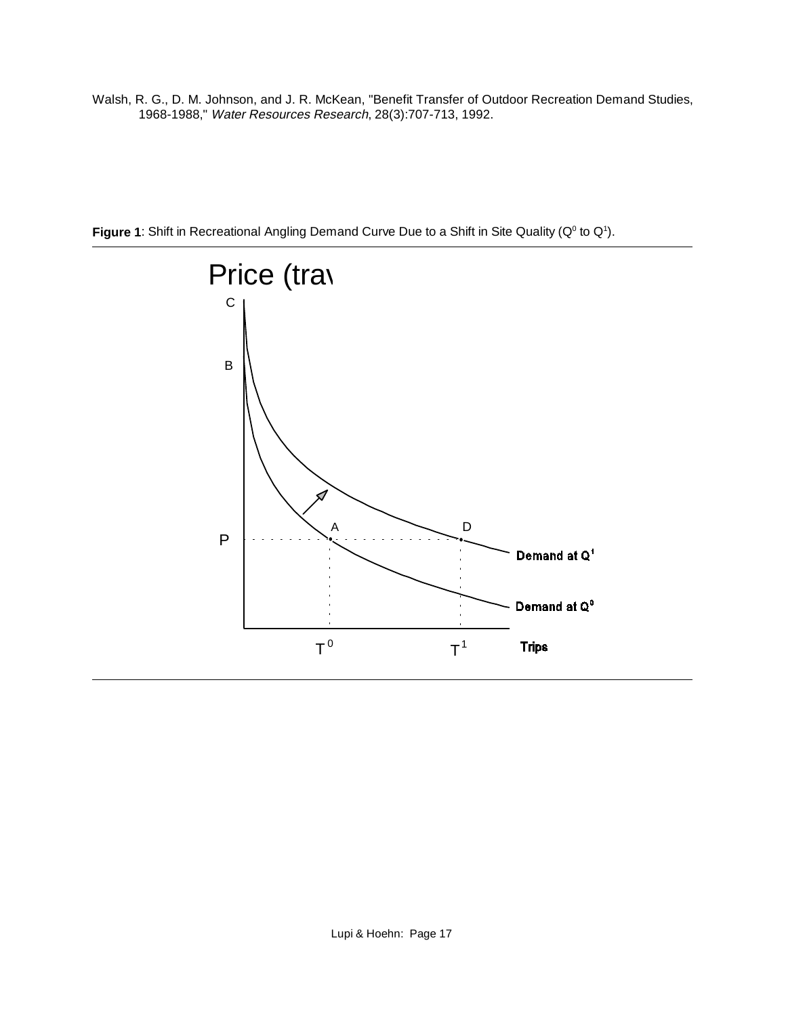Walsh, R. G., D. M. Johnson, and J. R. McKean, "Benefit Transfer of Outdoor Recreation Demand Studies, 1968-1988," Water Resources Research, 28(3):707-713, 1992.



Figure 1: Shift in Recreational Angling Demand Curve Due to a Shift in Site Quality (Q<sup>0</sup> to Q<sup>1</sup>).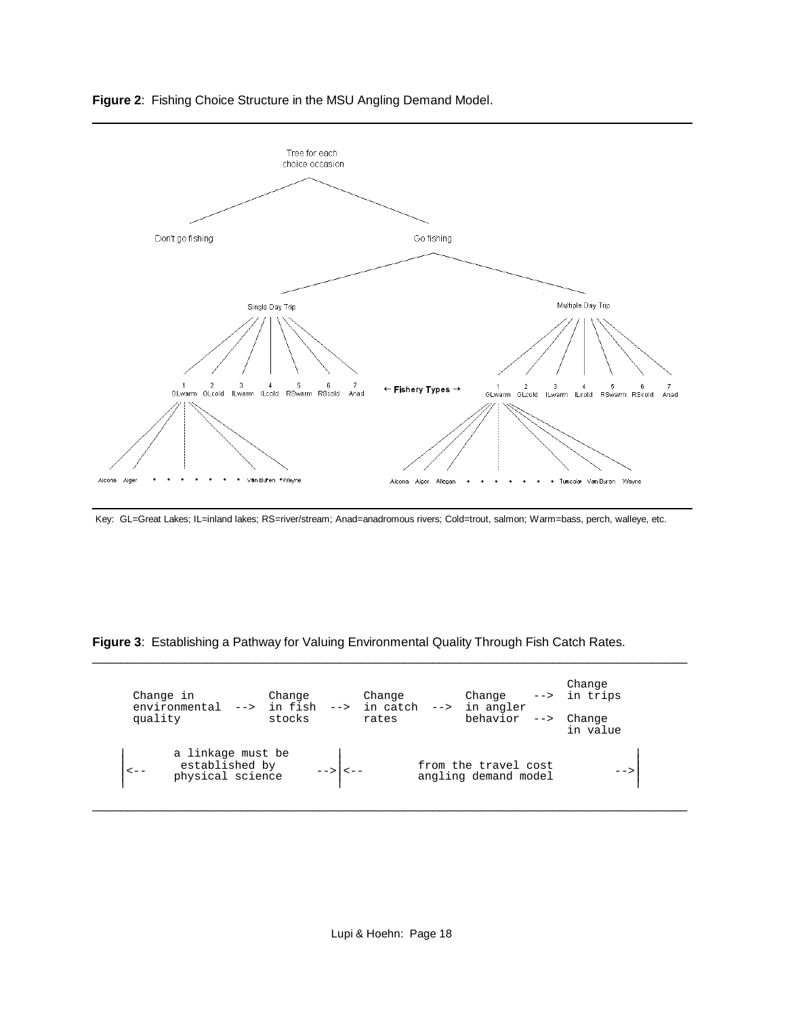



Key: GL=Great Lakes; IL=inland lakes; RS=river/stream; Anad=anadromous rivers; Cold=trout, salmon; Warm=bass, perch, walleye, etc.

**Figure 3**: Establishing a Pathway for Valuing Environmental Quality Through Fish Catch Rates.

| Change in<br>environmental<br>quality                                | Change<br>$\leftarrow$ in fish<br>stocks | Change<br>$\leftarrow$ in catch<br>$--&>$<br>rates | Change<br>in angler<br>behavior<br>$--$      | Change<br>$\leftarrow$ in trips<br>Change<br>in value |
|----------------------------------------------------------------------|------------------------------------------|----------------------------------------------------|----------------------------------------------|-------------------------------------------------------|
| a linkage must be<br>established by<br>$\lt$ $-$<br>physical science | $--->$ $ $ < $---$                       |                                                    | from the travel cost<br>angling demand model | -->                                                   |

\_\_\_\_\_\_\_\_\_\_\_\_\_\_\_\_\_\_\_\_\_\_\_\_\_\_\_\_\_\_\_\_\_\_\_\_\_\_\_\_\_\_\_\_\_\_\_\_\_\_\_\_\_\_\_\_\_\_\_\_\_\_\_\_\_\_\_\_\_\_\_\_\_\_\_\_\_\_\_\_\_\_\_\_